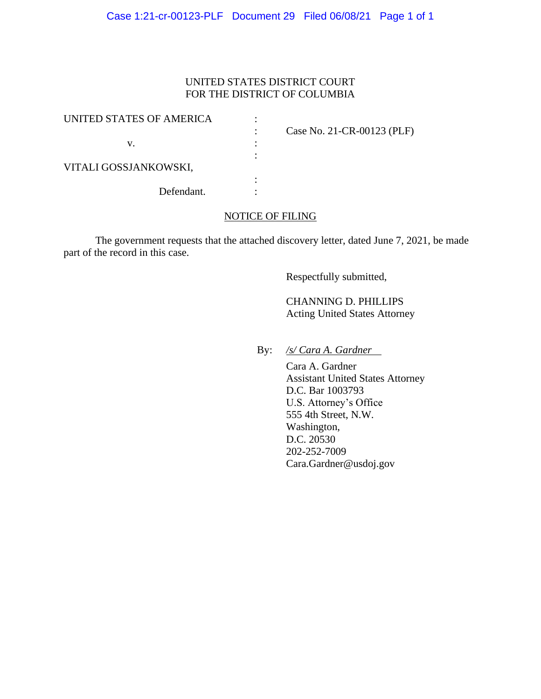# UNITED STATES DISTRICT COURT FOR THE DISTRICT OF COLUMBIA

| UNITED STATES OF AMERICA |                            |
|--------------------------|----------------------------|
|                          | Case No. 21-CR-00123 (PLF) |
| v.                       |                            |
|                          |                            |
| VITALI GOSSJANKOWSKI,    |                            |
|                          |                            |
| Defendant.               |                            |

## NOTICE OF FILING

The government requests that the attached discovery letter, dated June 7, 2021, be made part of the record in this case.

Respectfully submitted,

 CHANNING D. PHILLIPS Acting United States Attorney

By: */s/ Cara A. Gardner*

 Cara A. Gardner Assistant United States Attorney D.C. Bar 1003793 U.S. Attorney's Office 555 4th Street, N.W. Washington, D.C. 20530 202-252-7009 Cara.Gardner@usdoj.gov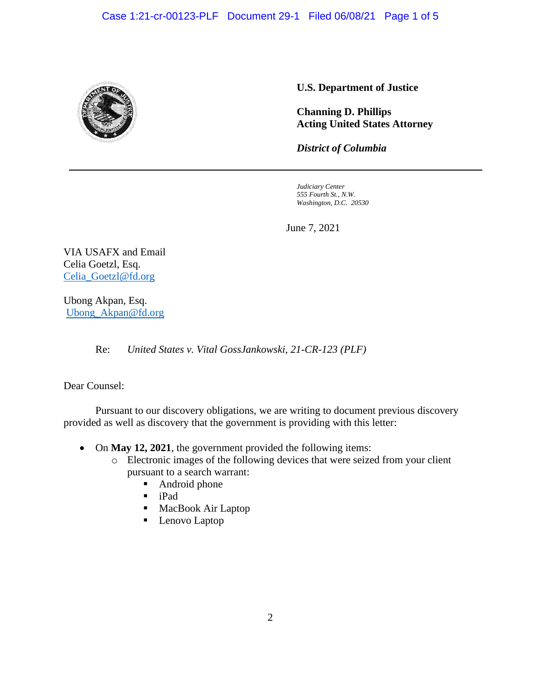

# **U.S. Department of Justice**

**Channing D. Phillips Acting United States Attorney**

*District of Columbia*

*Judiciary Center 555 Fourth St., N.W. Washington, D.C. 20530*

June 7, 2021

VIA USAFX and Email Celia Goetzl, Esq. Celia\_Goetzl@fd.org

Ubong Akpan, Esq. Ubong\_Akpan@fd.org

Re: *United States v. Vital GossJankowski, 21-CR-123 (PLF)* 

Dear Counsel:

Pursuant to our discovery obligations, we are writing to document previous discovery provided as well as discovery that the government is providing with this letter:

- On **May 12, 2021**, the government provided the following items:
	- o Electronic images of the following devices that were seized from your client pursuant to a search warrant:
		- Android phone
		- iPad
		- MacBook Air Laptop
		- Lenovo Laptop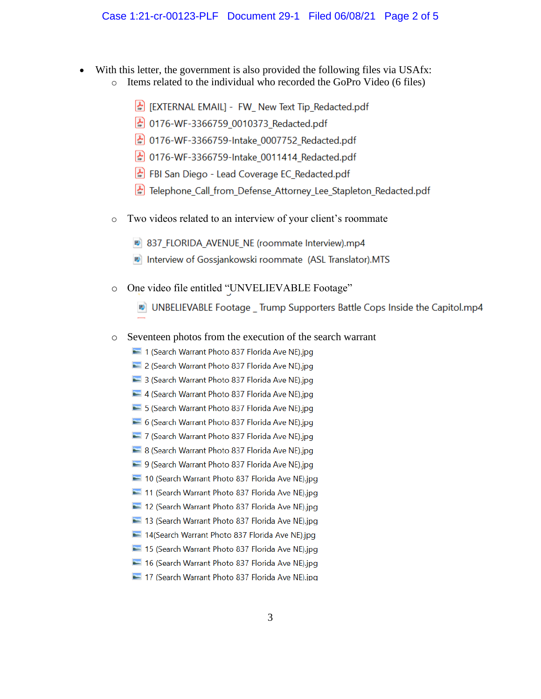- With this letter, the government is also provided the following files via USAfx:
	- Items related to the individual who recorded the GoPro Video (6 files)  $\circ$ 
		- EXTERNAL EMAILI FW New Text Tip Redacted.pdf
		- 0176-WF-3366759 0010373 Redacted.pdf
		- 0176-WF-3366759-Intake\_0007752\_Redacted.pdf
		- 0176-WF-3366759-Intake 0011414 Redacted.pdf
		- FBI San Diego Lead Coverage EC\_Redacted.pdf
		- Telephone Call from Defense Attorney Lee Stapleton Redacted.pdf
	- Two videos related to an interview of your client's roommate  $\circ$ 
		- 837 FLORIDA AVENUE NE (roommate Interview).mp4
		- Interview of Gossjankowski roommate (ASL Translator).MTS
	- One video file entitled "UNVELIEVABLE Footage"  $\circ$ 
		- UNBELIEVABLE Footage \_ Trump Supporters Battle Cops Inside the Capitol.mp4
	- Seventeen photos from the execution of the search warrant  $\circ$ 
		- 1 (Search Warrant Photo 837 Florida Ave NE).jpg
		- 2 (Search Warrant Photo 837 Florida Ave NE).jpg
		- 3 (Search Warrant Photo 837 Florida Ave NE).jpg
		- 4 (Search Warrant Photo 837 Florida Ave NE).jpg
		- 5 (Search Warrant Photo 837 Florida Ave NE).jpg
		- 6 (Search Warrant Photo 837 Florida Ave NE).jpg
		- 7 (Search Warrant Photo 837 Florida Ave NE).jpg
		- 8 (Search Warrant Photo 837 Florida Ave NE).jpg
		- 9 (Search Warrant Photo 837 Florida Ave NE).jpg
		- 10 (Search Warrant Photo 837 Florida Ave NE).jpg
		- 11 (Search Warrant Photo 837 Florida Ave NE).jpg
		- 12 (Search Warrant Photo 837 Florida Ave NE).jpg
		- 13 (Search Warrant Photo 837 Florida Ave NE).jpg
		- 14 [Search Warrant Photo 837 Florida Ave NE).jpg
		- 15 (Search Warrant Photo 837 Florida Ave NE).jpg
		- 16 (Search Warrant Photo 837 Florida Ave NE).jpg
		- 17 (Search Warrant Photo 837 Florida Ave NE).jpg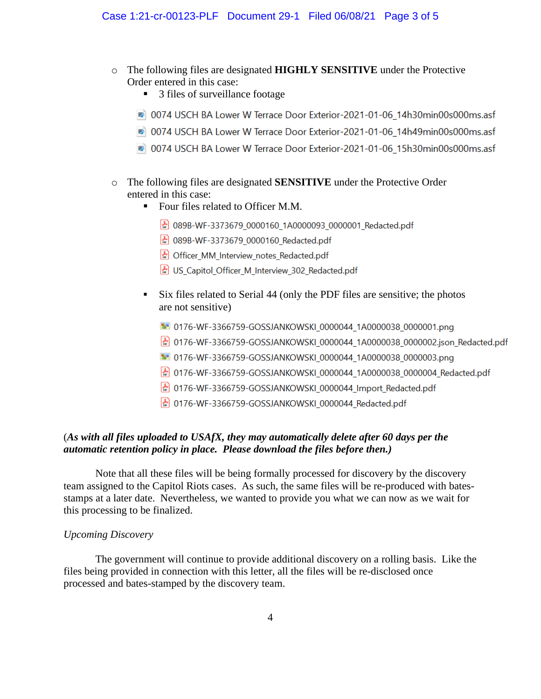- o The following files are designated **HIGHLY SENSITIVE** under the Protective Order entered in this case:
	- 3 files of surveillance footage
	- 10074 USCH BA Lower W Terrace Door Exterior-2021-01-06 14h30min00s000ms.asf
	- 0074 USCH BA Lower W Terrace Door Exterior-2021-01-06 14h49min00s000ms.asf
	- 0074 USCH BA Lower W Terrace Door Exterior-2021-01-06\_15h30min00s000ms.asf
- o The following files are designated **SENSITIVE** under the Protective Order entered in this case:
	- Four files related to Officer M.M.
		- 089B-WF-3373679 0000160 1A0000093 0000001 Redacted.pdf
		- 089B-WF-3373679 0000160 Redacted.pdf
		- Officer MM Interview notes Redacted.pdf
		- US Capitol Officer M Interview 302 Redacted.pdf
	- Six files related to Serial 44 (only the PDF files are sensitive; the photos are not sensitive)
		- 1- 0176-WF-3366759-GOSSJANKOWSKI 0000044 1A0000038 0000001.png
		- 2 0176-WF-3366759-GOSSJANKOWSKI\_0000044\_1A0000038\_0000002.json\_Redacted.pdf
		- 1- 0176-WF-3366759-GOSSJANKOWSKI 0000044 1A0000038 0000003.png
		- 0176-WF-3366759-GOSSJANKOWSKI 0000044 1A0000038 0000004 Redacted.pdf
		- Molder 2366759-GOSSJANKOWSKI\_0000044\_Import\_Redacted.pdf
		- MO176-WF-3366759-GOSSJANKOWSKI\_0000044\_Redacted.pdf

## (*As with all files uploaded to USAfX, they may automatically delete after 60 days per the automatic retention policy in place. Please download the files before then.)*

Note that all these files will be being formally processed for discovery by the discovery team assigned to the Capitol Riots cases. As such, the same files will be re-produced with batesstamps at a later date. Nevertheless, we wanted to provide you what we can now as we wait for this processing to be finalized.

### *Upcoming Discovery*

The government will continue to provide additional discovery on a rolling basis. Like the files being provided in connection with this letter, all the files will be re-disclosed once processed and bates-stamped by the discovery team.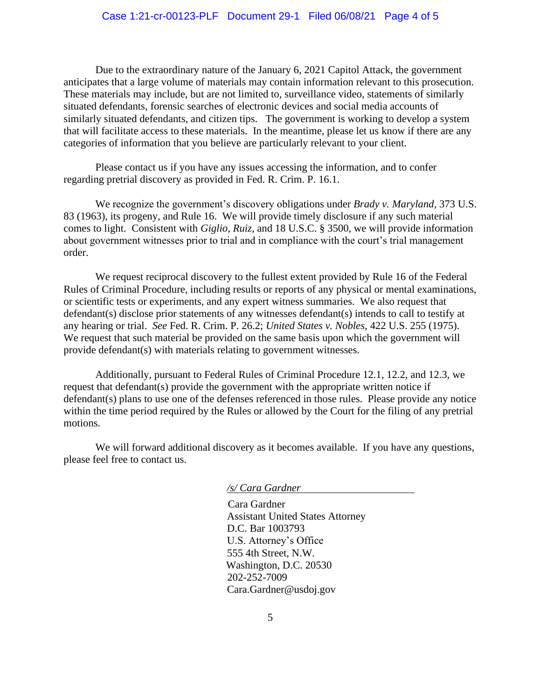Due to the extraordinary nature of the January 6, 2021 Capitol Attack, the government anticipates that a large volume of materials may contain information relevant to this prosecution. These materials may include, but are not limited to, surveillance video, statements of similarly situated defendants, forensic searches of electronic devices and social media accounts of similarly situated defendants, and citizen tips. The government is working to develop a system that will facilitate access to these materials. In the meantime, please let us know if there are any categories of information that you believe are particularly relevant to your client.

Please contact us if you have any issues accessing the information, and to confer regarding pretrial discovery as provided in Fed. R. Crim. P. 16.1.

We recognize the government's discovery obligations under *Brady v. Maryland*, 373 U.S. 83 (1963), its progeny, and Rule 16. We will provide timely disclosure if any such material comes to light. Consistent with *Giglio*, *Ruiz*, and 18 U.S.C. § 3500, we will provide information about government witnesses prior to trial and in compliance with the court's trial management order.

We request reciprocal discovery to the fullest extent provided by Rule 16 of the Federal Rules of Criminal Procedure, including results or reports of any physical or mental examinations, or scientific tests or experiments, and any expert witness summaries. We also request that defendant(s) disclose prior statements of any witnesses defendant(s) intends to call to testify at any hearing or trial. *See* Fed. R. Crim. P. 26.2; *United States v. Nobles*, 422 U.S. 255 (1975). We request that such material be provided on the same basis upon which the government will provide defendant(s) with materials relating to government witnesses.

Additionally, pursuant to Federal Rules of Criminal Procedure 12.1, 12.2, and 12.3, we request that defendant(s) provide the government with the appropriate written notice if defendant(s) plans to use one of the defenses referenced in those rules. Please provide any notice within the time period required by the Rules or allowed by the Court for the filing of any pretrial motions.

We will forward additional discovery as it becomes available. If you have any questions, please feel free to contact us.

#### */s/ Cara Gardner*

 Cara Gardner Assistant United States Attorney D.C. Bar 1003793 U.S. Attorney's Office 555 4th Street, N.W. Washington, D.C. 20530 202-252-7009 Cara.Gardner@usdoj.gov